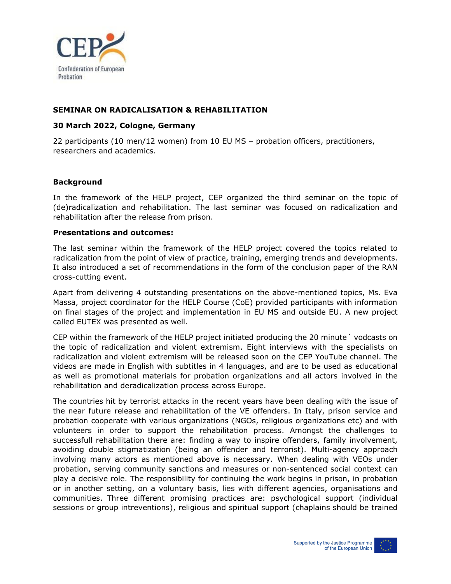

## **SEMINAR ON RADICALISATION & REHABILITATION**

## **30 March 2022, Cologne, Germany**

22 participants (10 men/12 women) from 10 EU MS – probation officers, practitioners, researchers and academics.

## **Background**

In the framework of the HELP project, CEP organized the third seminar on the topic of (de)radicalization and rehabilitation. The last seminar was focused on radicalization and rehabilitation after the release from prison.

## **Presentations and outcomes:**

The last seminar within the framework of the HELP project covered the topics related to radicalization from the point of view of practice, training, emerging trends and developments. It also introduced a set of recommendations in the form of the conclusion paper of the RAN cross-cutting event.

Apart from delivering 4 outstanding presentations on the above-mentioned topics, Ms. Eva Massa, project coordinator for the HELP Course (CoE) provided participants with information on final stages of the project and implementation in EU MS and outside EU. A new project called EUTEX was presented as well.

CEP within the framework of the HELP project initiated producing the 20 minute´ vodcasts on the topic of radicalization and violent extremism. Eight interviews with the specialists on radicalization and violent extremism will be released soon on the CEP YouTube channel. The videos are made in English with subtitles in 4 languages, and are to be used as educational as well as promotional materials for probation organizations and all actors involved in the rehabilitation and deradicalization process across Europe.

The countries hit by terrorist attacks in the recent years have been dealing with the issue of the near future release and rehabilitation of the VE offenders. In Italy, prison service and probation cooperate with various organizations (NGOs, religious organizations etc) and with volunteers in order to support the rehabilitation process. Amongst the challenges to successfull rehabilitation there are: finding a way to inspire offenders, family involvement, avoiding double stigmatization (being an offender and terrorist). Multi-agency approach involving many actors as mentioned above is necessary. When dealing with VEOs under probation, serving community sanctions and measures or non-sentenced social context can play a decisive role. The responsibility for continuing the work begins in prison, in probation or in another setting, on a voluntary basis, lies with different agencies, organisations and communities. Three different promising practices are: psychological support (individual sessions or group intreventions), religious and spiritual support (chaplains should be trained